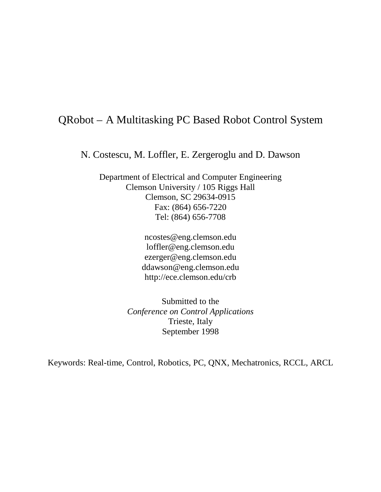# QRobot – A Multitasking PC Based Robot Control System

N. Costescu, M. Loffler, E. Zergeroglu and D. Dawson

Department of Electrical and Computer Engineering Clemson University / 105 Riggs Hall Clemson, SC 29634-0915 Fax: (864) 656-7220 Tel: (864) 656-7708

> ncostes@eng.clemson.edu loffler@eng.clemson.edu ezerger@eng.clemson.edu ddawson@eng.clemson.edu http://ece.clemson.edu/crb

Submitted to the *Conference on Control Applications* Trieste, Italy September 1998

Keywords: Real-time, Control, Robotics, PC, QNX, Mechatronics, RCCL, ARCL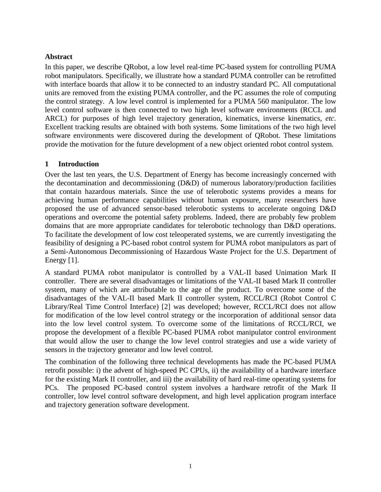## **Abstract**

In this paper, we describe QRobot, a low level real-time PC-based system for controlling PUMA robot manipulators. Specifically, we illustrate how a standard PUMA controller can be retrofitted with interface boards that allow it to be connected to an industry standard PC. All computational units are removed from the existing PUMA controller, and the PC assumes the role of computing the control strategy. A low level control is implemented for a PUMA 560 manipulator. The low level control software is then connected to two high level software environments (RCCL and ARCL) for purposes of high level trajectory generation, kinematics, inverse kinematics, *etc*. Excellent tracking results are obtained with both systems. Some limitations of the two high level software environments were discovered during the development of QRobot. These limitations provide the motivation for the future development of a new object oriented robot control system.

## **1 Introduction**

Over the last ten years, the U.S. Department of Energy has become increasingly concerned with the decontamination and decommissioning (D&D) of numerous laboratory/production facilities that contain hazardous materials. Since the use of telerobotic systems provides a means for achieving human performance capabilities without human exposure, many researchers have proposed the use of advanced sensor-based telerobotic systems to accelerate ongoing D&D operations and overcome the potential safety problems. Indeed, there are probably few problem domains that are more appropriate candidates for telerobotic technology than D&D operations. To facilitate the development of low cost teleoperated systems, we are currently investigating the feasibility of designing a PC-based robot control system for PUMA robot manipulators as part of a Semi-Autonomous Decommissioning of Hazardous Waste Project for the U.S. Department of Energy [1].

A standard PUMA robot manipulator is controlled by a VAL-II based Unimation Mark II controller. There are several disadvantages or limitations of the VAL-II based Mark II controller system, many of which are attributable to the age of the product. To overcome some of the disadvantages of the VAL-II based Mark II controller system, RCCL/RCI (Robot Control C Library/Real Time Control Interface) [2] was developed; however, RCCL/RCI does not allow for modification of the low level control strategy or the incorporation of additional sensor data into the low level control system. To overcome some of the limitations of RCCL/RCI, we propose the development of a flexible PC-based PUMA robot manipulator control environment that would allow the user to change the low level control strategies and use a wide variety of sensors in the trajectory generator and low level control.

The combination of the following three technical developments has made the PC-based PUMA retrofit possible: i) the advent of high-speed PC CPUs, ii) the availability of a hardware interface for the existing Mark II controller, and iii) the availability of hard real-time operating systems for PCs. The proposed PC-based control system involves a hardware retrofit of the Mark II controller, low level control software development, and high level application program interface and trajectory generation software development.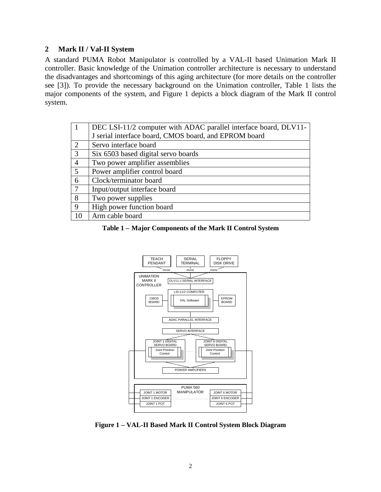#### **2 Mark II / Val-II System**

A standard PUMA Robot Manipulator is controlled by a VAL-II based Unimation Mark II controller. Basic knowledge of the Unimation controller architecture is necessary to understand the disadvantages and shortcomings of this aging architecture (for more details on the controller see [3]). To provide the necessary background on the Unimation controller, Table 1 lists the major components of the system, and Figure 1 depicts a block diagram of the Mark II control system.

|                | DEC LSI-11/2 computer with ADAC parallel interface board, DLV11- |  |
|----------------|------------------------------------------------------------------|--|
|                | J serial interface board, CMOS board, and EPROM board            |  |
| 2              | Servo interface board                                            |  |
| $\overline{3}$ | Six 6503 based digital servo boards                              |  |
| $\overline{4}$ | Two power amplifier assemblies                                   |  |
| $\overline{5}$ | Power amplifier control board                                    |  |
| 6              | Clock/terminator board                                           |  |
| $\tau$         | Input/output interface board                                     |  |
| 8              | Two power supplies                                               |  |
| 9              | High power function board                                        |  |
| 10             | Arm cable board                                                  |  |

**Table 1 – Major Components of the Mark II Control System**



**Figure 1 – VAL-II Based Mark II Control System Block Diagram**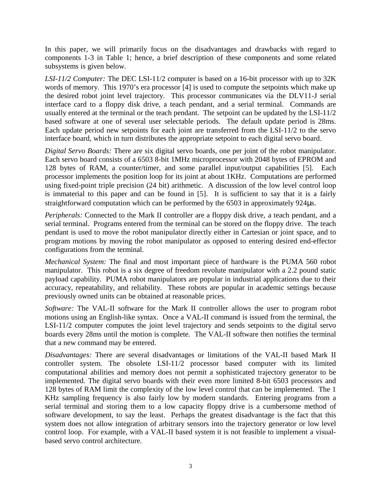In this paper, we will primarily focus on the disadvantages and drawbacks with regard to components 1-3 in Table 1; hence, a brief description of these components and some related subsystems is given below.

*LSI-11/2 Computer:* The DEC LSI-11/2 computer is based on a 16-bit processor with up to 32K words of memory. This 1970's era processor [4] is used to compute the setpoints which make up the desired robot joint level trajectory. This processor communicates via the DLV11-J serial interface card to a floppy disk drive, a teach pendant, and a serial terminal. Commands are usually entered at the terminal or the teach pendant. The setpoint can be updated by the LSI-11/2 based software at one of several user selectable periods. The default update period is 28ms. Each update period new setpoints for each joint are transferred from the LSI-11/2 to the servo interface board, which in turn distributes the appropriate setpoint to each digital servo board.

*Digital Servo Boards:* There are six digital servo boards, one per joint of the robot manipulator. Each servo board consists of a 6503 8-bit 1MHz microprocessor with 2048 bytes of EPROM and 128 bytes of RAM, a counter/timer, and some parallel input/output capabilities [5]. Each processor implements the position loop for its joint at about 1KHz. Computations are performed using fixed-point triple precision (24 bit) arithmetic. A discussion of the low level control loop is immaterial to this paper and can be found in [5]. It is sufficient to say that it is a fairly straightforward computation which can be performed by the 6503 in approximately 924μs.

*Peripherals:* Connected to the Mark II controller are a floppy disk drive, a teach pendant, and a serial terminal. Programs entered from the terminal can be stored on the floppy drive. The teach pendant is used to move the robot manipulator directly either in Cartesian or joint space, and to program motions by moving the robot manipulator as opposed to entering desired end-effector configurations from the terminal.

*Mechanical System:* The final and most important piece of hardware is the PUMA 560 robot manipulator. This robot is a six degree of freedom revolute manipulator with a 2.2 pound static payload capability. PUMA robot manipulators are popular in industrial applications due to their accuracy, repeatability, and reliability. These robots are popular in academic settings because previously owned units can be obtained at reasonable prices.

*Software:* The VAL-II software for the Mark II controller allows the user to program robot motions using an English-like syntax. Once a VAL-II command is issued from the terminal, the LSI-11/2 computer computes the joint level trajectory and sends setpoints to the digital servo boards every 28ms until the motion is complete. The VAL-II software then notifies the terminal that a new command may be entered.

*Disadvantages:* There are several disadvantages or limitations of the VAL-II based Mark II controller system. The obsolete LSI-11/2 processor based computer with its limited computational abilities and memory does not permit a sophisticated trajectory generator to be implemented. The digital servo boards with their even more limited 8-bit 6503 processors and 128 bytes of RAM limit the complexity of the low level control that can be implemented. The 1 KHz sampling frequency is also fairly low by modern standards. Entering programs from a serial terminal and storing them to a low capacity floppy drive is a cumbersome method of software development, to say the least. Perhaps the greatest disadvantage is the fact that this system does not allow integration of arbitrary sensors into the trajectory generator or low level control loop. For example, with a VAL-II based system it is not feasible to implement a visualbased servo control architecture.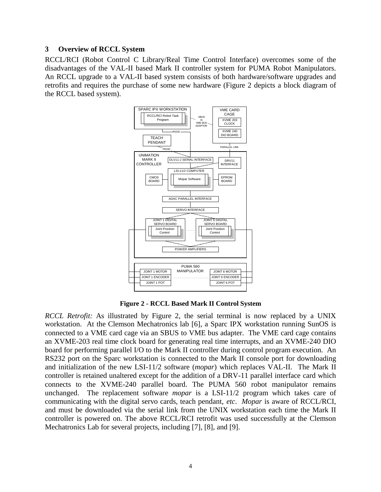#### **3 Overview of RCCL System**

RCCL/RCI (Robot Control C Library/Real Time Control Interface) overcomes some of the disadvantages of the VAL-II based Mark II controller system for PUMA Robot Manipulators. An RCCL upgrade to a VAL-II based system consists of both hardware/software upgrades and retrofits and requires the purchase of some new hardware (Figure 2 depicts a block diagram of the RCCL based system).



**Figure 2 - RCCL Based Mark II Control System**

*RCCL Retrofit:* As illustrated by Figure 2, the serial terminal is now replaced by a UNIX workstation. At the Clemson Mechatronics lab [6], a Sparc IPX workstation running SunOS is connected to a VME card cage via an SBUS to VME bus adapter. The VME card cage contains an XVME-203 real time clock board for generating real time interrupts, and an XVME-240 DIO board for performing parallel I/O to the Mark II controller during control program execution. An RS232 port on the Sparc workstation is connected to the Mark II console port for downloading and initialization of the new LSI-11/2 software (*mopar*) which replaces VAL-II. The Mark II controller is retained unaltered except for the addition of a DRV-11 parallel interface card which connects to the XVME-240 parallel board. The PUMA 560 robot manipulator remains unchanged. The replacement software *mopar* is a LSI-11/2 program which takes care of communicating with the digital servo cards, teach pendant, *etc*. *Mopar* is aware of RCCL/RCI, and must be downloaded via the serial link from the UNIX workstation each time the Mark II controller is powered on. The above RCCL/RCI retrofit was used successfully at the Clemson Mechatronics Lab for several projects, including [7], [8], and [9].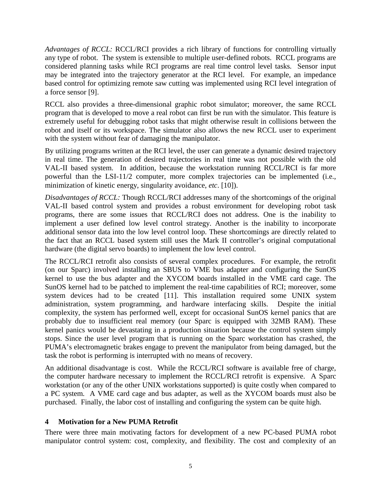*Advantages of RCCL:* RCCL/RCI provides a rich library of functions for controlling virtually any type of robot. The system is extensible to multiple user-defined robots. RCCL programs are considered planning tasks while RCI programs are real time control level tasks. Sensor input may be integrated into the trajectory generator at the RCI level. For example, an impedance based control for optimizing remote saw cutting was implemented using RCI level integration of a force sensor [9].

RCCL also provides a three-dimensional graphic robot simulator; moreover, the same RCCL program that is developed to move a real robot can first be run with the simulator. This feature is extremely useful for debugging robot tasks that might otherwise result in collisions between the robot and itself or its workspace. The simulator also allows the new RCCL user to experiment with the system without fear of damaging the manipulator.

By utilizing programs written at the RCI level, the user can generate a dynamic desired trajectory in real time. The generation of desired trajectories in real time was not possible with the old VAL-II based system. In addition, because the workstation running RCCL/RCI is far more powerful than the LSI-11/2 computer, more complex trajectories can be implemented (i.e., minimization of kinetic energy, singularity avoidance, *etc*. [10]).

*Disadvantages of RCCL:* Though RCCL/RCI addresses many of the shortcomings of the original VAL-II based control system and provides a robust environment for developing robot task programs, there are some issues that RCCL/RCI does not address. One is the inability to implement a user defined low level control strategy. Another is the inability to incorporate additional sensor data into the low level control loop. These shortcomings are directly related to the fact that an RCCL based system still uses the Mark II controller's original computational hardware (the digital servo boards) to implement the low level control.

The RCCL/RCI retrofit also consists of several complex procedures. For example, the retrofit (on our Sparc) involved installing an SBUS to VME bus adapter and configuring the SunOS kernel to use the bus adapter and the XYCOM boards installed in the VME card cage. The SunOS kernel had to be patched to implement the real-time capabilities of RCI; moreover, some system devices had to be created [11]. This installation required some UNIX system administration, system programming, and hardware interfacing skills. Despite the initial complexity, the system has performed well, except for occasional SunOS kernel panics that are probably due to insufficient real memory (our Sparc is equipped with 32MB RAM). These kernel panics would be devastating in a production situation because the control system simply stops. Since the user level program that is running on the Sparc workstation has crashed, the PUMA's electromagnetic brakes engage to prevent the manipulator from being damaged, but the task the robot is performing is interrupted with no means of recovery.

An additional disadvantage is cost. While the RCCL/RCI software is available free of charge, the computer hardware necessary to implement the RCCL/RCI retrofit is expensive. A Sparc workstation (or any of the other UNIX workstations supported) is quite costly when compared to a PC system. A VME card cage and bus adapter, as well as the XYCOM boards must also be purchased. Finally, the labor cost of installing and configuring the system can be quite high.

## **4 Motivation for a New PUMA Retrofit**

There were three main motivating factors for development of a new PC-based PUMA robot manipulator control system: cost, complexity, and flexibility. The cost and complexity of an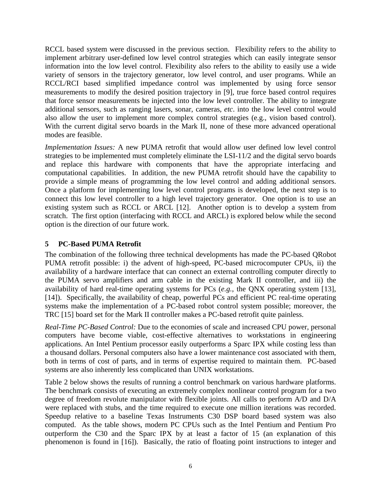RCCL based system were discussed in the previous section. Flexibility refers to the ability to implement arbitrary user-defined low level control strategies which can easily integrate sensor information into the low level control. Flexibility also refers to the ability to easily use a wide variety of sensors in the trajectory generator, low level control, and user programs. While an RCCL/RCI based simplified impedance control was implemented by using force sensor measurements to modify the desired position trajectory in [9], true force based control requires that force sensor measurements be injected into the low level controller. The ability to integrate additional sensors, such as ranging lasers, sonar, cameras, *etc*. into the low level control would also allow the user to implement more complex control strategies (e.g., vision based control). With the current digital servo boards in the Mark II, none of these more advanced operational modes are feasible.

*Implementation Issues:* A new PUMA retrofit that would allow user defined low level control strategies to be implemented must completely eliminate the LSI-11/2 and the digital servo boards and replace this hardware with components that have the appropriate interfacing and computational capabilities. In addition, the new PUMA retrofit should have the capability to provide a simple means of programming the low level control and adding additional sensors. Once a platform for implementing low level control programs is developed, the next step is to connect this low level controller to a high level trajectory generator. One option is to use an existing system such as RCCL or ARCL [12]. Another option is to develop a system from scratch. The first option (interfacing with RCCL and ARCL) is explored below while the second option is the direction of our future work.

# **5 PC-Based PUMA Retrofit**

The combination of the following three technical developments has made the PC-based QRobot PUMA retrofit possible: i) the advent of high-speed, PC-based microcomputer CPUs, ii) the availability of a hardware interface that can connect an external controlling computer directly to the PUMA servo amplifiers and arm cable in the existing Mark II controller, and iii) the availability of hard real-time operating systems for PCs (*e.g.*, the QNX operating system [13], [14]). Specifically, the availability of cheap, powerful PCs and efficient PC real-time operating systems make the implementation of a PC-based robot control system possible; moreover, the TRC [15] board set for the Mark II controller makes a PC-based retrofit quite painless.

*Real-Time PC-Based Control:* Due to the economies of scale and increased CPU power, personal computers have become viable, cost-effective alternatives to workstations in engineering applications. An Intel Pentium processor easily outperforms a Sparc IPX while costing less than a thousand dollars. Personal computers also have a lower maintenance cost associated with them, both in terms of cost of parts, and in terms of expertise required to maintain them. PC-based systems are also inherently less complicated than UNIX workstations.

Table 2 below shows the results of running a control benchmark on various hardware platforms. The benchmark consists of executing an extremely complex nonlinear control program for a two degree of freedom revolute manipulator with flexible joints. All calls to perform A/D and D/A were replaced with stubs, and the time required to execute one million iterations was recorded. Speedup relative to a baseline Texas Instruments C30 DSP board based system was also computed. As the table shows, modern PC CPUs such as the Intel Pentium and Pentium Pro outperform the C30 and the Sparc IPX by at least a factor of 15 (an explanation of this phenomenon is found in [16]). Basically, the ratio of floating point instructions to integer and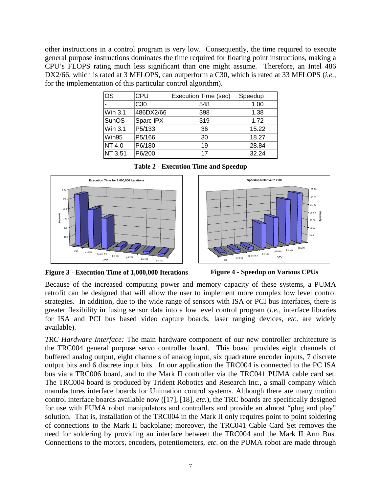other instructions in a control program is very low. Consequently, the time required to execute general purpose instructions dominates the time required for floating point instructions, making a CPU's FLOPS rating much less significant than one might assume. Therefore, an Intel 486 DX2/66, which is rated at 3 MFLOPS, can outperform a C30, which is rated at 33 MFLOPS (*i.e.*, for the implementation of this particular control algorithm).

| $\overline{\text{OS}}$ | <b>CPU</b>      | Execution Time (sec) | Speedup |
|------------------------|-----------------|----------------------|---------|
|                        | C <sub>30</sub> | 548                  | 1.00    |
| <b>Win 3.1</b>         | 486DX2/66       | 398                  | 1.38    |
| <b>SunOS</b>           | Sparc IPX       | 319                  | 1.72    |
| <b>Win 3.1</b>         | P5/133          | 36                   | 15.22   |
| Win95                  | P5/166          | 30                   | 18.27   |
| <b>NT4.0</b>           | P6/180          | 19                   | 28.84   |
| NT 3.51                | P6/200          | 17                   | 32.24   |







**Figure 3 - Execution Time of 1,000,000 Iterations**



Because of the increased computing power and memory capacity of these systems, a PUMA retrofit can be designed that will allow the user to implement more complex low level control strategies. In addition, due to the wide range of sensors with ISA or PCI bus interfaces, there is greater flexibility in fusing sensor data into a low level control program (*i.e.*, interface libraries for ISA and PCI bus based video capture boards, laser ranging devices, *etc*. are widely available).

*TRC Hardware Interface:* The main hardware component of our new controller architecture is the TRC004 general purpose servo controller board. This board provides eight channels of buffered analog output, eight channels of analog input, six quadrature encoder inputs, 7 discrete output bits and 6 discrete input bits. In our application the TRC004 is connected to the PC ISA bus via a TRC006 board, and to the Mark II controller via the TRC041 PUMA cable card set. The TRC004 board is produced by Trident Robotics and Research Inc., a small company which manufactures interface boards for Unimation control systems. Although there are many motion control interface boards available now ([17], [18], *etc*.), the TRC boards are specifically designed for use with PUMA robot manipulators and controllers and provide an almost "plug and play" solution. That is, installation of the TRC004 in the Mark II only requires point to point soldering of connections to the Mark II backplane; moreover, the TRC041 Cable Card Set removes the need for soldering by providing an interface between the TRC004 and the Mark II Arm Bus. Connections to the motors, encoders, potentiometers, *etc*. on the PUMA robot are made through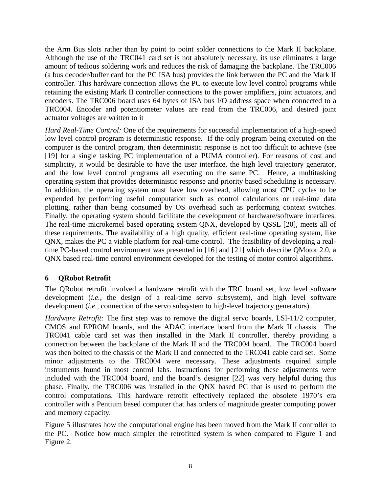the Arm Bus slots rather than by point to point solder connections to the Mark II backplane. Although the use of the TRC041 card set is not absolutely necessary, its use eliminates a large amount of tedious soldering work and reduces the risk of damaging the backplane. The TRC006 (a bus decoder/buffer card for the PC ISA bus) provides the link between the PC and the Mark II controller. This hardware connection allows the PC to execute low level control programs while retaining the existing Mark II controller connections to the power amplifiers, joint actuators, and encoders. The TRC006 board uses 64 bytes of ISA bus I/O address space when connected to a TRC004. Encoder and potentiometer values are read from the TRC006, and desired joint actuator voltages are written to it

*Hard Real-Time Control:* One of the requirements for successful implementation of a high-speed low level control program is deterministic response. If the only program being executed on the computer is the control program, then deterministic response is not too difficult to achieve (see [19] for a single tasking PC implementation of a PUMA controller). For reasons of cost and simplicity, it would be desirable to have the user interface, the high level trajectory generator, and the low level control programs all executing on the same PC. Hence, a multitasking operating system that provides deterministic response and priority based scheduling is necessary. In addition, the operating system must have low overhead, allowing most CPU cycles to be expended by performing useful computation such as control calculations or real-time data plotting, rather than being consumed by OS overhead such as performing context switches. Finally, the operating system should facilitate the development of hardware/software interfaces. The real-time microkernel based operating system QNX, developed by QSSL [20], meets all of these requirements. The availability of a high quality, efficient real-time operating system, like QNX, makes the PC a viable platform for real-time control. The feasibility of developing a realtime PC-based control environment was presented in [16] and [21] which describe QMotor 2.0, a QNX based real-time control environment developed for the testing of motor control algorithms.

## **6 QRobot Retrofit**

The QRobot retrofit involved a hardware retrofit with the TRC board set, low level software development (*i.e.*, the design of a real-time servo subsystem), and high level software development *(i.e.*, connection of the servo subsystem to high-level trajectory generators).

*Hardware Retrofit:* The first step was to remove the digital servo boards, LSI-11/2 computer, CMOS and EPROM boards, and the ADAC interface board from the Mark II chassis. The TRC041 cable card set was then installed in the Mark II controller, thereby providing a connection between the backplane of the Mark II and the TRC004 board. The TRC004 board was then bolted to the chassis of the Mark II and connected to the TRC041 cable card set. Some minor adjustments to the TRC004 were necessary. These adjustments required simple instruments found in most control labs. Instructions for performing these adjustments were included with the TRC004 board, and the board's designer [22] was very helpful during this phase. Finally, the TRC006 was installed in the QNX based PC that is used to perform the control computations. This hardware retrofit effectively replaced the obsolete 1970's era controller with a Pentium based computer that has orders of magnitude greater computing power and memory capacity.

Figure 5 illustrates how the computational engine has been moved from the Mark II controller to the PC. Notice how much simpler the retrofitted system is when compared to Figure 1 and Figure 2.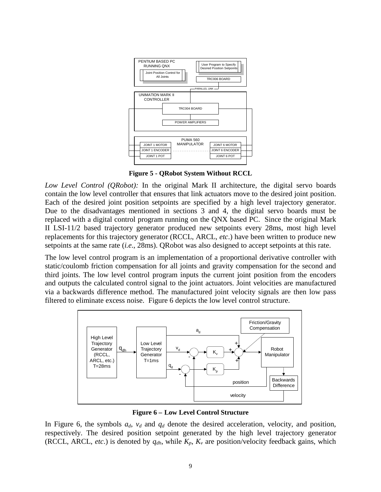

**Figure 5 - QRobot System Without RCCL**

*Low Level Control (QRobot):* In the original Mark II architecture, the digital servo boards contain the low level controller that ensures that link actuators move to the desired joint position. Each of the desired joint position setpoints are specified by a high level trajectory generator. Due to the disadvantages mentioned in sections 3 and 4, the digital servo boards must be replaced with a digital control program running on the QNX based PC. Since the original Mark II LSI-11/2 based trajectory generator produced new setpoints every 28ms, most high level replacements for this trajectory generator (RCCL, ARCL, *etc*.) have been written to produce new setpoints at the same rate (*i.e.*, 28ms). QRobot was also designed to accept setpoints at this rate.

The low level control program is an implementation of a proportional derivative controller with static/coulomb friction compensation for all joints and gravity compensation for the second and third joints. The low level control program inputs the current joint position from the encoders and outputs the calculated control signal to the joint actuators. Joint velocities are manufactured via a backwards difference method. The manufactured joint velocity signals are then low pass filtered to eliminate excess noise. Figure 6 depicts the low level control structure.



**Figure 6 – Low Level Control Structure**

In Figure 6, the symbols  $a_d$ ,  $v_d$  and  $q_d$  denote the desired acceleration, velocity, and position, respectively. The desired position setpoint generated by the high level trajectory generator (RCCL, ARCL, *etc.*) is denoted by  $q_{dh}$ , while  $K_p$ ,  $K_v$  are position/velocity feedback gains, which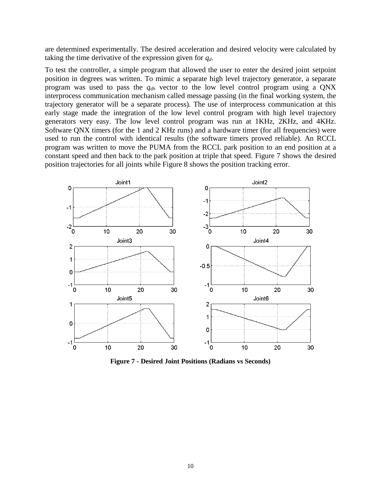are determined experimentally. The desired acceleration and desired velocity were calculated by taking the time derivative of the expression given for *qd*.

To test the controller, a simple program that allowed the user to enter the desired joint setpoint position in degrees was written. To mimic a separate high level trajectory generator, a separate program was used to pass the *qdh* vector to the low level control program using a QNX interprocess communication mechanism called message passing (in the final working system, the trajectory generator will be a separate process). The use of interprocess communication at this early stage made the integration of the low level control program with high level trajectory generators very easy. The low level control program was run at 1KHz, 2KHz, and 4KHz. Software QNX timers (for the 1 and 2 KHz runs) and a hardware timer (for all frequencies) were used to run the control with identical results (the software timers proved reliable). An RCCL program was written to move the PUMA from the RCCL park position to an end position at a constant speed and then back to the park position at triple that speed. Figure 7 shows the desired position trajectories for all joints while Figure 8 shows the position tracking error.



**Figure 7 - Desired Joint Positions (Radians vs Seconds)**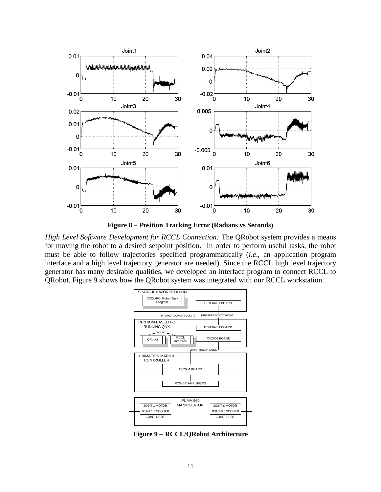

**Figure 8 – Position Tracking Error (Radians vs Seconds)**

*High Level Software Development for RCCL Connection:* The QRobot system provides a means for moving the robot to a desired setpoint position. In order to perform useful tasks, the robot must be able to follow trajectories specified programmatically (*i.e*., an application program interface and a high level trajectory generator are needed). Since the RCCL high level trajectory generator has many desirable qualities, we developed an interface program to connect RCCL to QRobot. Figure 9 shows how the QRobot system was integrated with our RCCL workstation.



**Figure 9 – RCCL/QRobot Architecture**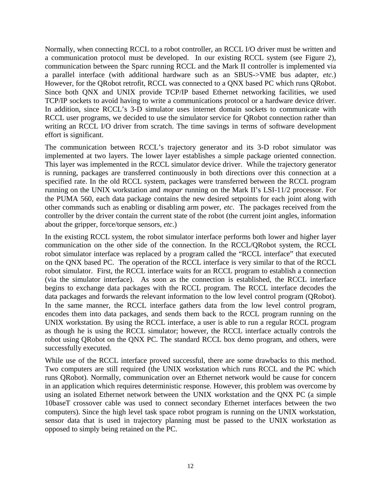Normally, when connecting RCCL to a robot controller, an RCCL I/O driver must be written and a communication protocol must be developed. In our existing RCCL system (see Figure 2), communication between the Sparc running RCCL and the Mark II controller is implemented via a parallel interface (with additional hardware such as an SBUS->VME bus adapter, *etc*.) However, for the QRobot retrofit, RCCL was connected to a QNX based PC which runs QRobot. Since both QNX and UNIX provide TCP/IP based Ethernet networking facilities, we used TCP/IP sockets to avoid having to write a communications protocol or a hardware device driver. In addition, since RCCL's 3-D simulator uses internet domain sockets to communicate with RCCL user programs, we decided to use the simulator service for QRobot connection rather than writing an RCCL I/O driver from scratch. The time savings in terms of software development effort is significant.

The communication between RCCL's trajectory generator and its 3-D robot simulator was implemented at two layers. The lower layer establishes a simple package oriented connection. This layer was implemented in the RCCL simulator device driver. While the trajectory generator is running, packages are transferred continuously in both directions over this connection at a specified rate. In the old RCCL system, packages were transferred between the RCCL program running on the UNIX workstation and *mopar* running on the Mark II's LSI-11/2 processor. For the PUMA 560, each data package contains the new desired setpoints for each joint along with other commands such as enabling or disabling arm power, *etc*. The packages received from the controller by the driver contain the current state of the robot (the current joint angles, information about the gripper, force/torque sensors, *etc*.)

In the existing RCCL system, the robot simulator interface performs both lower and higher layer communication on the other side of the connection. In the RCCL/QRobot system, the RCCL robot simulator interface was replaced by a program called the "RCCL interface" that executed on the QNX based PC. The operation of the RCCL interface is very similar to that of the RCCL robot simulator. First, the RCCL interface waits for an RCCL program to establish a connection (via the simulator interface). As soon as the connection is established, the RCCL interface begins to exchange data packages with the RCCL program. The RCCL interface decodes the data packages and forwards the relevant information to the low level control program (QRobot). In the same manner, the RCCL interface gathers data from the low level control program, encodes them into data packages, and sends them back to the RCCL program running on the UNIX workstation. By using the RCCL interface, a user is able to run a regular RCCL program as though he is using the RCCL simulator; however, the RCCL interface actually controls the robot using QRobot on the QNX PC. The standard RCCL box demo program, and others, were successfully executed.

While use of the RCCL interface proved successful, there are some drawbacks to this method. Two computers are still required (the UNIX workstation which runs RCCL and the PC which runs QRobot). Normally, communication over an Ethernet network would be cause for concern in an application which requires deterministic response. However, this problem was overcome by using an isolated Ethernet network between the UNIX workstation and the QNX PC (a simple 10baseT crossover cable was used to connect secondary Ethernet interfaces between the two computers). Since the high level task space robot program is running on the UNIX workstation, sensor data that is used in trajectory planning must be passed to the UNIX workstation as opposed to simply being retained on the PC.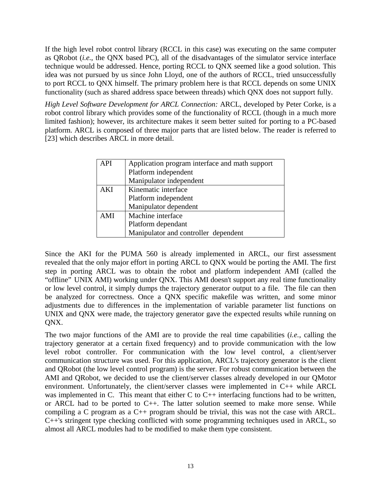If the high level robot control library (RCCL in this case) was executing on the same computer as QRobot (*i.e.*, the QNX based PC), all of the disadvantages of the simulator service interface technique would be addressed. Hence, porting RCCL to QNX seemed like a good solution. This idea was not pursued by us since John Lloyd, one of the authors of RCCL, tried unsuccessfully to port RCCL to QNX himself. The primary problem here is that RCCL depends on some UNIX functionality (such as shared address space between threads) which QNX does not support fully.

*High Level Software Development for ARCL Connection:* ARCL, developed by Peter Corke, is a robot control library which provides some of the functionality of RCCL (though in a much more limited fashion); however, its architecture makes it seem better suited for porting to a PC-based platform. ARCL is composed of three major parts that are listed below. The reader is referred to [23] which describes ARCL in more detail.

| <b>API</b> | Application program interface and math support |  |
|------------|------------------------------------------------|--|
|            | Platform independent                           |  |
|            | Manipulator independent                        |  |
| AKI        | Kinematic interface                            |  |
|            | Platform independent                           |  |
|            | Manipulator dependent                          |  |
| AMI        | Machine interface                              |  |
|            | Platform dependant                             |  |
|            | Manipulator and controller dependent           |  |

Since the AKI for the PUMA 560 is already implemented in ARCL, our first assessment revealed that the only major effort in porting ARCL to QNX would be porting the AMI. The first step in porting ARCL was to obtain the robot and platform independent AMI (called the "offline" UNIX AMI) working under QNX. This AMI doesn't support any real time functionality or low level control, it simply dumps the trajectory generator output to a file. The file can then be analyzed for correctness. Once a QNX specific makefile was written, and some minor adjustments due to differences in the implementation of variable parameter list functions on UNIX and QNX were made, the trajectory generator gave the expected results while running on QNX.

The two major functions of the AMI are to provide the real time capabilities (*i.e.*, calling the trajectory generator at a certain fixed frequency) and to provide communication with the low level robot controller. For communication with the low level control, a client/server communication structure was used. For this application, ARCL's trajectory generator is the client and QRobot (the low level control program) is the server. For robust communication between the AMI and QRobot, we decided to use the client/server classes already developed in our QMotor environment. Unfortunately, the client/server classes were implemented in C++ while ARCL was implemented in C. This meant that either C to C++ interfacing functions had to be written, or ARCL had to be ported to C++. The latter solution seemed to make more sense. While compiling a C program as a C++ program should be trivial, this was not the case with ARCL. C++'s stringent type checking conflicted with some programming techniques used in ARCL, so almost all ARCL modules had to be modified to make them type consistent.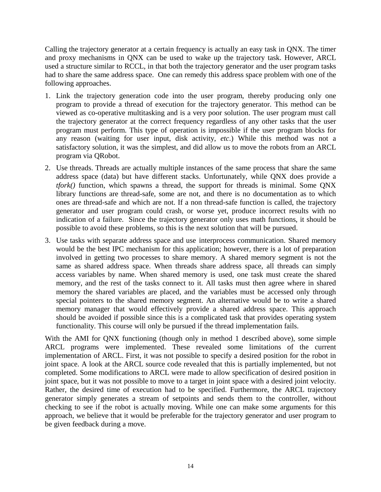Calling the trajectory generator at a certain frequency is actually an easy task in QNX. The timer and proxy mechanisms in QNX can be used to wake up the trajectory task. However, ARCL used a structure similar to RCCL, in that both the trajectory generator and the user program tasks had to share the same address space. One can remedy this address space problem with one of the following approaches.

- 1. Link the trajectory generation code into the user program, thereby producing only one program to provide a thread of execution for the trajectory generator. This method can be viewed as co-operative multitasking and is a very poor solution. The user program must call the trajectory generator at the correct frequency regardless of any other tasks that the user program must perform. This type of operation is impossible if the user program blocks for any reason (waiting for user input, disk activity, *etc*.) While this method was not a satisfactory solution, it was the simplest, and did allow us to move the robots from an ARCL program via QRobot.
- 2. Use threads. Threads are actually multiple instances of the same process that share the same address space (data) but have different stacks. Unfortunately, while QNX does provide a *tfork()* function, which spawns a thread, the support for threads is minimal. Some QNX library functions are thread-safe, some are not, and there is no documentation as to which ones are thread-safe and which are not. If a non thread-safe function is called, the trajectory generator and user program could crash, or worse yet, produce incorrect results with no indication of a failure. Since the trajectory generator only uses math functions, it should be possible to avoid these problems, so this is the next solution that will be pursued.
- 3. Use tasks with separate address space and use interprocess communication. Shared memory would be the best IPC mechanism for this application; however, there is a lot of preparation involved in getting two processes to share memory. A shared memory segment is not the same as shared address space. When threads share address space, all threads can simply access variables by name. When shared memory is used, one task must create the shared memory, and the rest of the tasks connect to it. All tasks must then agree where in shared memory the shared variables are placed, and the variables must be accessed only through special pointers to the shared memory segment. An alternative would be to write a shared memory manager that would effectively provide a shared address space. This approach should be avoided if possible since this is a complicated task that provides operating system functionality. This course will only be pursued if the thread implementation fails.

With the AMI for QNX functioning (though only in method 1 described above), some simple ARCL programs were implemented. These revealed some limitations of the current implementation of ARCL. First, it was not possible to specify a desired position for the robot in joint space. A look at the ARCL source code revealed that this is partially implemented, but not completed. Some modifications to ARCL were made to allow specification of desired position in joint space, but it was not possible to move to a target in joint space with a desired joint velocity. Rather, the desired time of execution had to be specified. Furthermore, the ARCL trajectory generator simply generates a stream of setpoints and sends them to the controller, without checking to see if the robot is actually moving. While one can make some arguments for this approach, we believe that it would be preferable for the trajectory generator and user program to be given feedback during a move.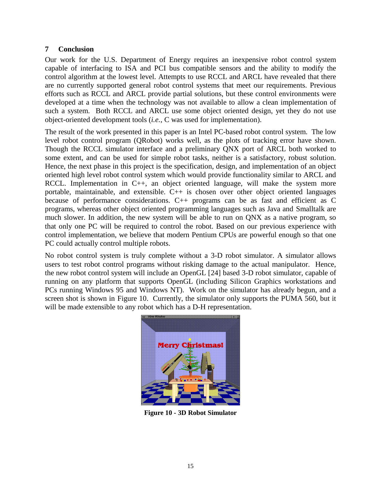#### **7 Conclusion**

Our work for the U.S. Department of Energy requires an inexpensive robot control system capable of interfacing to ISA and PCI bus compatible sensors and the ability to modify the control algorithm at the lowest level. Attempts to use RCCL and ARCL have revealed that there are no currently supported general robot control systems that meet our requirements. Previous efforts such as RCCL and ARCL provide partial solutions, but these control environments were developed at a time when the technology was not available to allow a clean implementation of such a system. Both RCCL and ARCL use some object oriented design, yet they do not use object-oriented development tools (*i.e.*, C was used for implementation).

The result of the work presented in this paper is an Intel PC-based robot control system. The low level robot control program (QRobot) works well, as the plots of tracking error have shown. Though the RCCL simulator interface and a preliminary QNX port of ARCL both worked to some extent, and can be used for simple robot tasks, neither is a satisfactory, robust solution. Hence, the next phase in this project is the specification, design, and implementation of an object oriented high level robot control system which would provide functionality similar to ARCL and RCCL. Implementation in C++, an object oriented language, will make the system more portable, maintainable, and extensible. C++ is chosen over other object oriented languages because of performance considerations. C++ programs can be as fast and efficient as C programs, whereas other object oriented programming languages such as Java and Smalltalk are much slower. In addition, the new system will be able to run on QNX as a native program, so that only one PC will be required to control the robot. Based on our previous experience with control implementation, we believe that modern Pentium CPUs are powerful enough so that one PC could actually control multiple robots.

No robot control system is truly complete without a 3-D robot simulator. A simulator allows users to test robot control programs without risking damage to the actual manipulator. Hence, the new robot control system will include an OpenGL [24] based 3-D robot simulator, capable of running on any platform that supports OpenGL (including Silicon Graphics workstations and PCs running Windows 95 and Windows NT). Work on the simulator has already begun, and a screen shot is shown in Figure 10. Currently, the simulator only supports the PUMA 560, but it will be made extensible to any robot which has a D-H representation.



**Figure 10 - 3D Robot Simulator**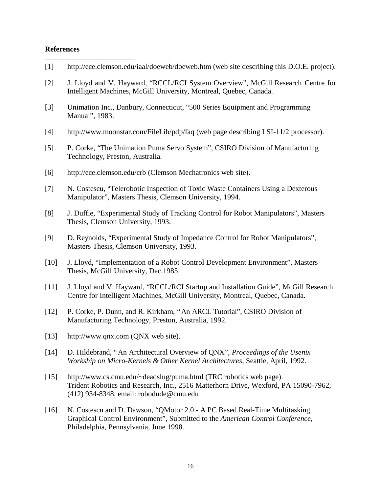#### **References**

-

- [1] http://ece.clemson.edu/iaal/doeweb/doeweb.htm (web site describing this D.O.E. project).
- [2] J. Lloyd and V. Hayward, "RCCL/RCI System Overview", McGill Research Centre for Intelligent Machines, McGill University, Montreal, Quebec, Canada.
- [3] Unimation Inc., Danbury, Connecticut, "500 Series Equipment and Programming Manual", 1983.
- [4] http://www.moonstar.com/FileLib/pdp/faq (web page describing LSI-11/2 processor).
- [5] P. Corke, "The Unimation Puma Servo System", CSIRO Division of Manufacturing Technology, Preston, Australia.
- [6] http://ece.clemson.edu/crb (Clemson Mechatronics web site).
- [7] N. Costescu, "Telerobotic Inspection of Toxic Waste Containers Using a Dexterous Manipulator", Masters Thesis, Clemson University, 1994.
- [8] J. Duffie, "Experimental Study of Tracking Control for Robot Manipulators", Masters Thesis, Clemson University, 1993.
- [9] D. Reynolds, "Experimental Study of Impedance Control for Robot Manipulators", Masters Thesis, Clemson University, 1993.
- [10] J. Lloyd, "Implementation of a Robot Control Development Environment", Masters Thesis, McGill University, Dec.1985
- [11] J. Lloyd and V. Hayward, "RCCL/RCI Startup and Installation Guide", McGill Research Centre for Intelligent Machines, McGill University, Montreal, Quebec, Canada.
- [12] P. Corke, P. Dunn, and R. Kirkham, "An ARCL Tutorial", CSIRO Division of Manufacturing Technology, Preston, Australia, 1992.
- [13] http://www.qnx.com (QNX web site).
- [14] D. Hildebrand, "An Architectural Overview of QNX", *Proceedings of the Usenix Workship on Micro-Kernels & Other Kernel Architectures*, Seattle, April, 1992.
- [15] http://www.cs.cmu.edu/~deadslug/puma.html (TRC robotics web page). Trident Robotics and Research, Inc., 2516 Matterhorn Drive, Wexford, PA 15090-7962, (412) 934-8348, email: robodude@cmu.edu
- [16] N. Costescu and D. Dawson, "QMotor 2.0 A PC Based Real-Time Multitasking Graphical Control Environment", Submitted to the *American Control Conference*, Philadelphia, Pennsylvania, June 1998.